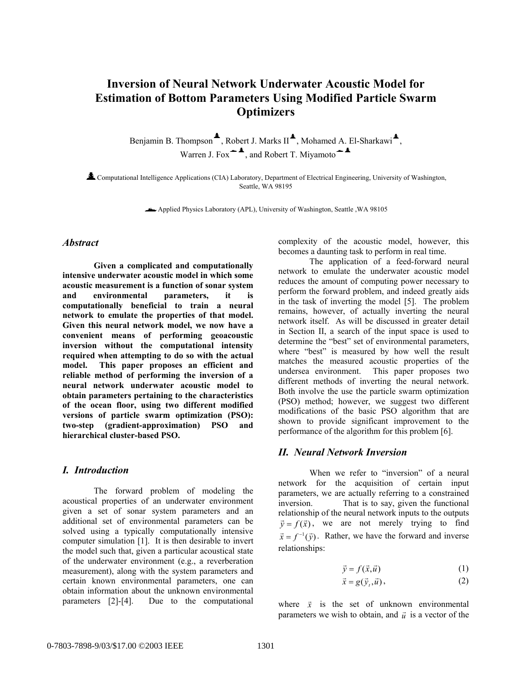# **Inversion of Neural Network Underwater Acoustic Model for Estimation of Bottom Parameters Using Modified Particle Swarm Optimizers**

Benjamin B. Thompson<sup> $\triangle$ </sup>, Robert J. Marks II<sup> $\triangle$ </sup>, Mohamed A. El-Sharkawi<sup> $\triangle$ </sup>, Warren J. Fox $\triangleq$ <sup>\*</sup>, and Robert T. Miyamoto $\triangleq$ <sup>\*</sup>

½Computational Intelligence Applications (CIA) Laboratory, Department of Electrical Engineering, University of Washington, Seattle, WA 98195

Applied Physics Laboratory (APL), University of Washington, Seattle ,WA 98105

### *Abstract*

**Given a complicated and computationally intensive underwater acoustic model in which some acoustic measurement is a function of sonar system and environmental parameters, it is computationally beneficial to train a neural network to emulate the properties of that model. Given this neural network model, we now have a convenient means of performing geoacoustic inversion without the computational intensity required when attempting to do so with the actual model. This paper proposes an efficient and reliable method of performing the inversion of a neural network underwater acoustic model to obtain parameters pertaining to the characteristics of the ocean floor, using two different modified versions of particle swarm optimization (PSO): two-step (gradient-approximation) PSO and hierarchical cluster-based PSO.** 

#### *I. Introduction*

 The forward problem of modeling the acoustical properties of an underwater environment given a set of sonar system parameters and an additional set of environmental parameters can be solved using a typically computationally intensive computer simulation [1]. It is then desirable to invert the model such that, given a particular acoustical state of the underwater environment (e.g., a reverberation measurement), along with the system parameters and certain known environmental parameters, one can obtain information about the unknown environmental parameters [2]-[4]. Due to the computational

complexity of the acoustic model, however, this becomes a daunting task to perform in real time.

 The application of a feed-forward neural network to emulate the underwater acoustic model reduces the amount of computing power necessary to perform the forward problem, and indeed greatly aids in the task of inverting the model [5]. The problem remains, however, of actually inverting the neural network itself. As will be discussed in greater detail in Section II, a search of the input space is used to determine the "best" set of environmental parameters, where "best" is measured by how well the result matches the measured acoustic properties of the undersea environment. This paper proposes two different methods of inverting the neural network. Both involve the use the particle swarm optimization (PSO) method; however, we suggest two different modifications of the basic PSO algorithm that are shown to provide significant improvement to the performance of the algorithm for this problem [6].

#### *II. Neural Network Inversion*

When we refer to "inversion" of a neural network for the acquisition of certain input parameters, we are actually referring to a constrained inversion. That is to say, given the functional relationship of the neural network inputs to the outputs  $\vec{v} = f(\vec{x})$ , we are not merely trying to find  $\vec{x} = f^{-1}(\vec{v})$ . Rather, we have the forward and inverse relationships:

$$
\vec{y} = f(\vec{x}, \vec{u}) \tag{1}
$$

$$
\vec{x} = g(\vec{y}_t, \vec{u}),\tag{2}
$$

where  $\vec{x}$  is the set of unknown environmental parameters we wish to obtain, and  $\vec{u}$  is a vector of the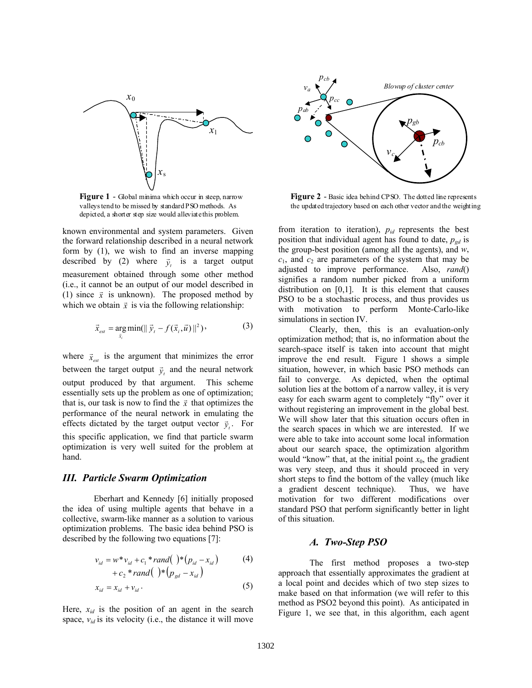

**Figure 1** - Global minima which occur in steep, narrow valleys tend to be missed by standard PSO methods. As depicted, a shorter step size would alleviate this problem.

known environmental and system parameters. Given the forward relationship described in a neural network form by (1), we wish to find an inverse mapping described by (2) where  $\vec{y}_t$  is a target output measurement obtained through some other method (i.e., it cannot be an output of our model described in (1) since  $\vec{x}$  is unknown). The proposed method by which we obtain  $\vec{x}$  is via the following relationship:

$$
\vec{x}_{est} = \underset{\vec{x}_i}{\arg \min} (\|\vec{y}_t - f(\vec{x}_i, \vec{u})\|^2), \tag{3}
$$

where  $\vec{x}_{est}$  is the argument that minimizes the error between the target output  $\vec{y}_t$  and the neural network output produced by that argument. This scheme essentially sets up the problem as one of optimization; that is, our task is now to find the  $\vec{x}$  that optimizes the performance of the neural network in emulating the effects dictated by the target output vector  $\vec{y}_i$ . For this specific application, we find that particle swarm optimization is very well suited for the problem at hand.

#### *III. Particle Swarm Optimization*

Eberhart and Kennedy [6] initially proposed the idea of using multiple agents that behave in a collective, swarm-like manner as a solution to various optimization problems. The basic idea behind PSO is described by the following two equations [7]:

$$
v_{id} = w^* v_{id} + c_1^* rand( )^* (p_{id} - x_{id})
$$
  
+  $c_2^* rand( )^* (p_{gd} - x_{id})$  (4)

$$
x_{id} = x_{id} + v_{id} \,. \tag{5}
$$

Here,  $x_{id}$  is the position of an agent in the search space,  $v_{id}$  is its velocity (i.e., the distance it will move



**Figure 2** - Basic idea behind CPSO. The dotted line represents the updated trajectory based on each other vector and the weighting

from iteration to iteration), *pid* represents the best position that individual agent has found to date,  $p_{gd}$  is the group-best position (among all the agents), and *w*,  $c_1$ , and  $c_2$  are parameters of the system that may be adjusted to improve performance. Also, *rand*() signifies a random number picked from a uniform distribution on [0,1]. It is this element that causes PSO to be a stochastic process, and thus provides us with motivation to perform Monte-Carlo-like simulations in section IV.

 Clearly, then, this is an evaluation-only optimization method; that is, no information about the search-space itself is taken into account that might improve the end result. Figure 1 shows a simple situation, however, in which basic PSO methods can fail to converge. As depicted, when the optimal solution lies at the bottom of a narrow valley, it is very easy for each swarm agent to completely "fly" over it without registering an improvement in the global best. We will show later that this situation occurs often in the search spaces in which we are interested. If we were able to take into account some local information about our search space, the optimization algorithm would "know" that, at the initial point  $x_0$ , the gradient was very steep, and thus it should proceed in very short steps to find the bottom of the valley (much like a gradient descent technique). Thus, we have motivation for two different modifications over standard PSO that perform significantly better in light of this situation.

#### *A. Two-Step PSO*

The first method proposes a two-step approach that essentially approximates the gradient at a local point and decides which of two step sizes to make based on that information (we will refer to this method as PSO2 beyond this point). As anticipated in Figure 1, we see that, in this algorithm, each agent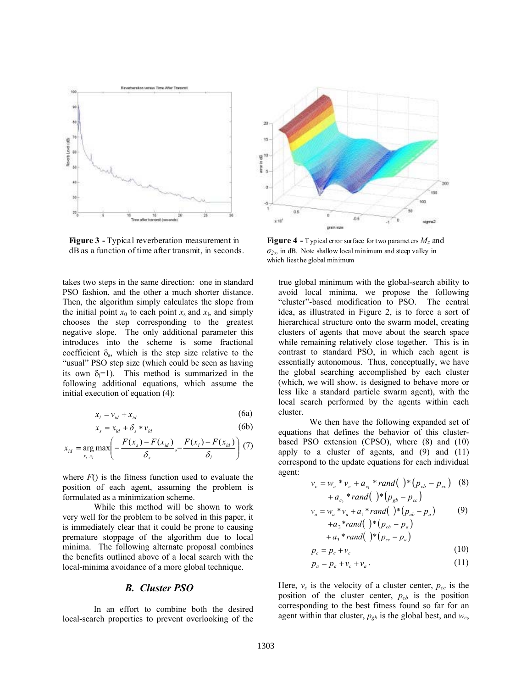

**Figure 3 -** Typical reverberation measurement in dB as a function of time after transmit, in seconds.

takes two steps in the same direction: one in standard PSO fashion, and the other a much shorter distance. Then, the algorithm simply calculates the slope from the initial point  $x_0$  to each point  $x_s$  and  $x_1$ , and simply chooses the step corresponding to the greatest negative slope. The only additional parameter this introduces into the scheme is some fractional coefficient  $\delta_s$ , which is the step size relative to the "usual" PSO step size (which could be seen as having its own  $\delta_1=1$ ). This method is summarized in the following additional equations, which assume the initial execution of equation (4):

$$
x_l = v_{id} + x_{id} \tag{6a}
$$

$$
x_s = x_{id} + \delta_s * v_{id} \tag{6b}
$$

$$
x_{id} = \underset{x_s, x_l}{\arg \max} \left( -\frac{F(x_s) - F(x_{id})}{\delta_s}, -\frac{F(x_l) - F(x_{id})}{\delta_l} \right) (7)
$$

where  $F()$  is the fitness function used to evaluate the position of each agent, assuming the problem is formulated as a minimization scheme.

While this method will be shown to work very well for the problem to be solved in this paper, it is immediately clear that it could be prone to causing premature stoppage of the algorithm due to local minima. The following alternate proposal combines the benefits outlined above of a local search with the local-minima avoidance of a more global technique.

#### *B. Cluster PSO*

In an effort to combine both the desired local-search properties to prevent overlooking of the



**Figure 4 -** Typical error surface for two parameters  $M_z$  and  $\sigma$ <sub>2</sub>, in dB. Note shallow local minimum and steep valley in which lies the global minimum

true global minimum with the global-search ability to avoid local minima, we propose the following "cluster"-based modification to PSO. The central idea, as illustrated in Figure 2, is to force a sort of hierarchical structure onto the swarm model, creating clusters of agents that move about the search space while remaining relatively close together. This is in contrast to standard PSO, in which each agent is essentially autonomous. Thus, conceptually, we have the global searching accomplished by each cluster (which, we will show, is designed to behave more or less like a standard particle swarm agent), with the local search performed by the agents within each cluster.

We then have the following expanded set of equations that defines the behavior of this clusterbased PSO extension (CPSO), where (8) and (10) apply to a cluster of agents, and  $(9)$  and  $(11)$ correspond to the update equations for each individual agent:

$$
v_c = w_c * v_c + a_{c_1} * rand( ) * (p_{cb} - p_{cc} )
$$
 (8)  
+  $a_{c_2} * rand( ) * (p_{gb} - p_{cc} )$   

$$
v_a = w_a * v_a + a_1 * rand( ) * (p_{ab} - p_a )
$$
 (9)  
+  $a_2 * rand( ) * (p_{cb} - p_a )$   
+  $a_3 * rand( ) * (p_{cc} - p_a )$ 

$$
p_c = p_c + v_c \tag{10}
$$

$$
p_a = p_a + v_c + v_a. \tag{11}
$$

Here,  $v_c$  is the velocity of a cluster center,  $p_{cc}$  is the position of the cluster center,  $p_{cb}$  is the position corresponding to the best fitness found so far for an agent within that cluster,  $p_{gb}$  is the global best, and  $w_c$ ,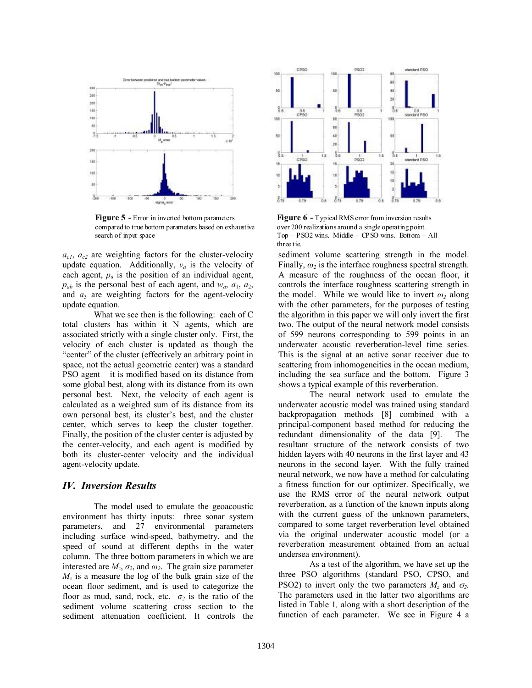

**Figure 5 -** Error in inverted bottom parameters compared to true bottom parameters based on exhaustive search of input space

 $a_{c1}$ ,  $a_{c2}$  are weighting factors for the cluster-velocity update equation. Additionally,  $v_a$  is the velocity of each agent, *pa* is the position of an individual agent,  $p_{ab}$  is the personal best of each agent, and  $w_a$ ,  $a_1$ ,  $a_2$ , and  $a_3$  are weighting factors for the agent-velocity update equation.

 What we see then is the following: each of C total clusters has within it N agents, which are associated strictly with a single cluster only. First, the velocity of each cluster is updated as though the "center" of the cluster (effectively an arbitrary point in space, not the actual geometric center) was a standard PSO agent – it is modified based on its distance from some global best, along with its distance from its own personal best. Next, the velocity of each agent is calculated as a weighted sum of its distance from its own personal best, its cluster's best, and the cluster center, which serves to keep the cluster together. Finally, the position of the cluster center is adjusted by the center-velocity, and each agent is modified by both its cluster-center velocity and the individual agent-velocity update.

#### *IV. Inversion Results*

The model used to emulate the geoacoustic environment has thirty inputs: three sonar system parameters, and 27 environmental parameters including surface wind-speed, bathymetry, and the speed of sound at different depths in the water column. The three bottom parameters in which we are interested are  $M_z$ ,  $\sigma_z$ , and  $\omega_z$ . The grain size parameter  $M<sub>z</sub>$  is a measure the log of the bulk grain size of the ocean floor sediment, and is used to categorize the floor as mud, sand, rock, etc.  $\sigma_2$  is the ratio of the sediment volume scattering cross section to the sediment attenuation coefficient. It controls the



**Figure 6** - Typical RMS error from inversion results over 200 realizations around a single operating point. Top -- PSO2 wins. Middle -- CPSO wins. Bottom -- All three tie.

sediment volume scattering strength in the model. Finally,  $\omega_2$  is the interface roughness spectral strength. A measure of the roughness of the ocean floor, it controls the interface roughness scattering strength in the model. While we would like to invert  $\omega_2$  along with the other parameters, for the purposes of testing the algorithm in this paper we will only invert the first two. The output of the neural network model consists of 599 neurons corresponding to 599 points in an underwater acoustic reverberation-level time series. This is the signal at an active sonar receiver due to scattering from inhomogeneities in the ocean medium, including the sea surface and the bottom. Figure 3 shows a typical example of this reverberation.

The neural network used to emulate the underwater acoustic model was trained using standard backpropagation methods [8] combined with a principal-component based method for reducing the redundant dimensionality of the data [9]. The resultant structure of the network consists of two hidden layers with 40 neurons in the first layer and 43 neurons in the second layer. With the fully trained neural network, we now have a method for calculating a fitness function for our optimizer. Specifically, we use the RMS error of the neural network output reverberation, as a function of the known inputs along with the current guess of the unknown parameters, compared to some target reverberation level obtained via the original underwater acoustic model (or a reverberation measurement obtained from an actual undersea environment).

As a test of the algorithm, we have set up the three PSO algorithms (standard PSO, CPSO, and PSO2) to invert only the two parameters  $M_z$  and  $\sigma_z$ . The parameters used in the latter two algorithms are listed in Table 1*,* along with a short description of the function of each parameter. We see in Figure 4 a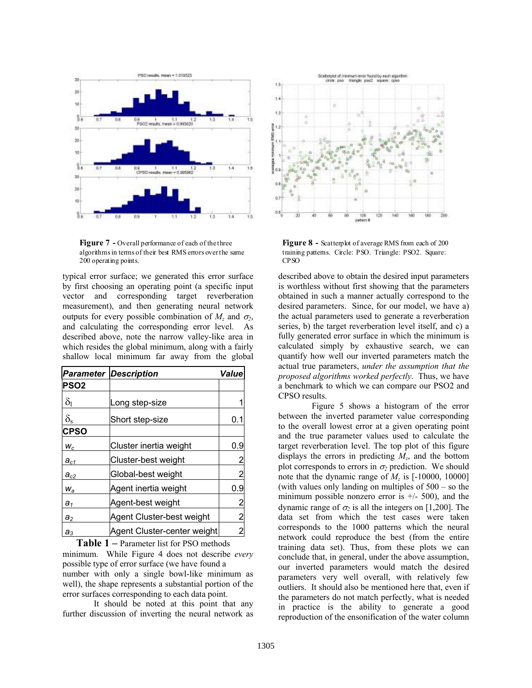

Figure 7 - Overall performance of each of the three algorithms in terms of their best RMS errors over the same 200 operating points.

typical error surface; we generated this error surface by first choosing an operating point (a specific input vector and corresponding target reverberation measurement), and then generating neural network outputs for every possible combination of  $M_z$  and  $\sigma_z$ , and calculating the corresponding error level. As described above, note the narrow valley-like area in which resides the global minimum, along with a fairly shallow local minimum far away from the global

|                  | <b>Parameter Description</b> | Value |
|------------------|------------------------------|-------|
| <b>PSO2</b>      |                              |       |
| $\delta_1$       | Long step-size               |       |
| $\delta_{\rm s}$ | Short step-size              | 0.1   |
| <b>CPSO</b>      |                              |       |
| $W_c$            | Cluster inertia weight       | 0.9   |
| $a_{c1}$         | Cluster-best weight          | 2     |
| $a_{c2}$         | Global-best weight           | 2     |
| $W_a$            | Agent inertia weight         | 0.9   |
| a <sub>1</sub>   | Agent-best weight            | 2     |
| $a_2$            | Agent Cluster-best weight    | 2     |
| $a_3$            | Agent Cluster-center weight  | 2     |

minimum. While Figure 4 does not describe *every* possible type of error surface (we have found a number with only a single bowl-like minimum as well), the shape represents a substantial portion of the error surfaces corresponding to each data point. **Table 1 –** Parameter list for PSO methods

It should be noted at this point that any further discussion of inverting the neural network as



**Figure 8 -** Scatterplot of average RMS from each of 200 training patterns. Circle: PSO. Triangle: PSO2. Square: CPSO

described above to obtain the desired input parameters is worthless without first showing that the parameters obtained in such a manner actually correspond to the desired parameters. Since, for our model, we have a) the actual parameters used to generate a reverberation series, b) the target reverberation level itself, and c) a fully generated error surface in which the minimum is calculated simply by exhaustive search, we can quantify how well our inverted parameters match the actual true parameters, *under the assumption that the proposed algorithms worked perfectly*. Thus, we have a benchmark to which we can compare our PSO2 and CPSO results.

 Figure 5 shows a histogram of the error between the inverted parameter value corresponding to the overall lowest error at a given operating point and the true parameter values used to calculate the target reverberation level. The top plot of this figure displays the errors in predicting *Mz*, and the bottom plot corresponds to errors in  $\sigma_2$  prediction. We should note that the dynamic range of  $M_z$  is  $[-10000, 10000]$ (with values only landing on multiples of 500 – so the minimum possible nonzero error is  $+/-$  500), and the dynamic range of  $\sigma_2$  is all the integers on [1,200]. The data set from which the test cases were taken corresponds to the 1000 patterns which the neural network could reproduce the best (from the entire training data set). Thus, from these plots we can conclude that, in general, under the above assumption, our inverted parameters would match the desired parameters very well overall, with relatively few outliers. It should also be mentioned here that, even if the parameters do not match perfectly, what is needed in practice is the ability to generate a good reproduction of the ensonification of the water column